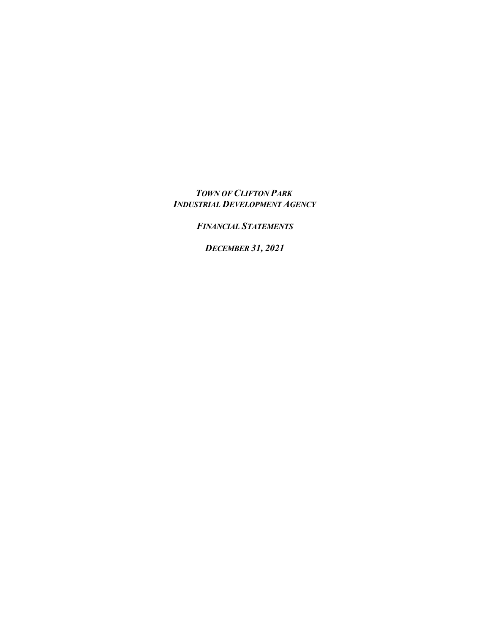*TOWN OF CLIFTON PARK INDUSTRIAL DEVELOPMENT AGENCY*

*FINANCIAL STATEMENTS*

*DECEMBER 31, 2021*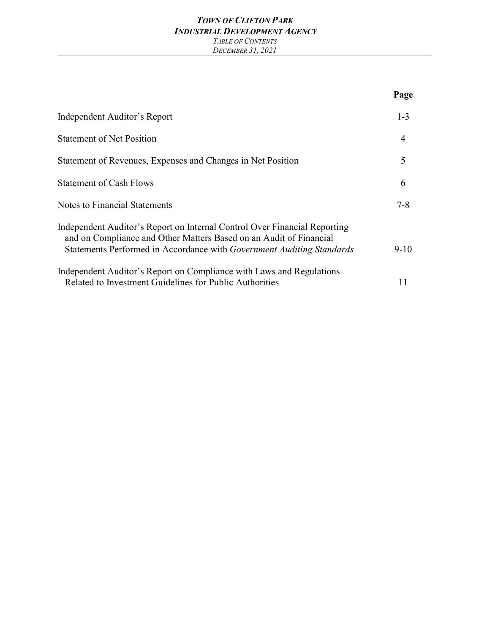#### *TOWN OF CLIFTON PARK INDUSTRIAL DEVELOPMENT AGENCY TABLE OF CONTENTS DECEMBER 31, 2021*

|                                                                                                                                                                                                                          | Page           |
|--------------------------------------------------------------------------------------------------------------------------------------------------------------------------------------------------------------------------|----------------|
| Independent Auditor's Report                                                                                                                                                                                             | $1 - 3$        |
| <b>Statement of Net Position</b>                                                                                                                                                                                         | $\overline{4}$ |
| Statement of Revenues, Expenses and Changes in Net Position                                                                                                                                                              | 5              |
| <b>Statement of Cash Flows</b>                                                                                                                                                                                           | 6              |
| <b>Notes to Financial Statements</b>                                                                                                                                                                                     | $7 - 8$        |
| Independent Auditor's Report on Internal Control Over Financial Reporting<br>and on Compliance and Other Matters Based on an Audit of Financial<br>Statements Performed in Accordance with Government Auditing Standards | $9 - 10$       |
| Independent Auditor's Report on Compliance with Laws and Regulations<br>Related to Investment Guidelines for Public Authorities                                                                                          | 11             |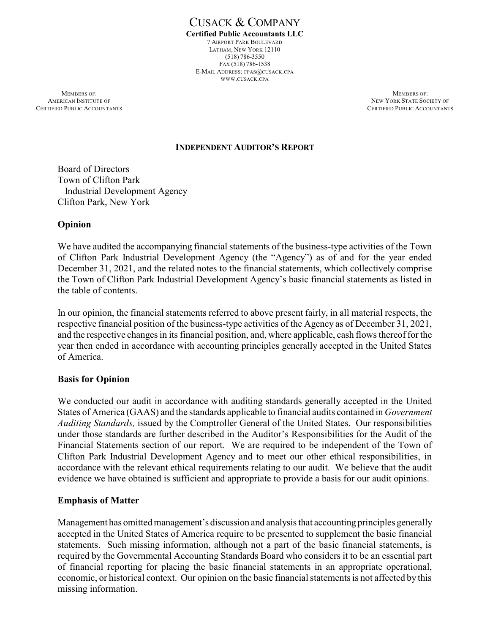CUSACK & COMPANY **Certified Public Accountants LLC** 7 AIRPORT PARK BOULEVARD LATHAM, NEW YORK 12110 (518) 786-3550 FAX (518) 786-1538 E-MAIL ADDRESS: CPAS@CUSACK.CPA WWW.CUSACK.CPA

**MEMBERS OF:** MEMBERS OF: AMERICAN INSTITUTE OF NEW YORK STATE SOCIETY OF NEW YORK STATE SOCIETY OF NEW YORK STATE SOCIETY OF NEW YORK STATE SOCIETY OF SAME ACCOUNTANTS

CERTIFIED PUBLIC ACCOUNTANTS

#### **INDEPENDENT AUDITOR'S REPORT**

Board of Directors Town of Clifton Park Industrial Development Agency Clifton Park, New York

### **Opinion**

We have audited the accompanying financial statements of the business-type activities of the Town of Clifton Park Industrial Development Agency (the "Agency") as of and for the year ended December 31, 2021, and the related notes to the financial statements, which collectively comprise the Town of Clifton Park Industrial Development Agency's basic financial statements as listed in the table of contents.

In our opinion, the financial statements referred to above present fairly, in all material respects, the respective financial position of the business-type activities of the Agency as of December 31, 2021, and the respective changes in its financial position, and, where applicable, cash flows thereof for the year then ended in accordance with accounting principles generally accepted in the United States of America.

#### **Basis for Opinion**

We conducted our audit in accordance with auditing standards generally accepted in the United States of America (GAAS) and the standards applicable to financial audits contained in *Government Auditing Standards,* issued by the Comptroller General of the United States. Our responsibilities under those standards are further described in the Auditor's Responsibilities for the Audit of the Financial Statements section of our report. We are required to be independent of the Town of Clifton Park Industrial Development Agency and to meet our other ethical responsibilities, in accordance with the relevant ethical requirements relating to our audit. We believe that the audit evidence we have obtained is sufficient and appropriate to provide a basis for our audit opinions.

#### **Emphasis of Matter**

Management has omitted management's discussion and analysis that accounting principles generally accepted in the United States of America require to be presented to supplement the basic financial statements. Such missing information, although not a part of the basic financial statements, is required by the Governmental Accounting Standards Board who considers it to be an essential part of financial reporting for placing the basic financial statements in an appropriate operational, economic, or historical context. Our opinion on the basic financial statements is not affected by this missing information.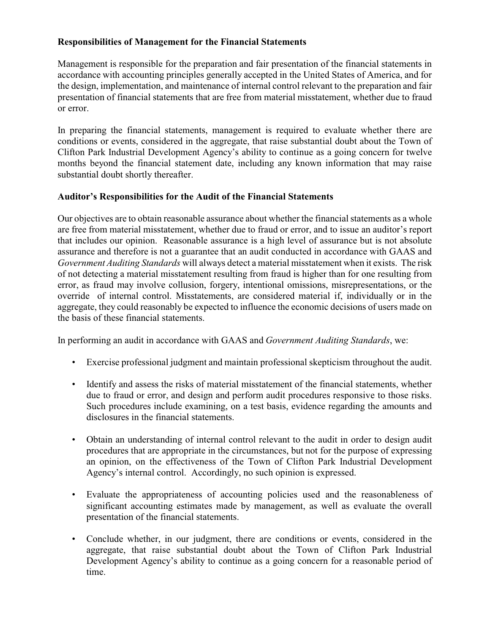### **Responsibilities of Management for the Financial Statements**

Management is responsible for the preparation and fair presentation of the financial statements in accordance with accounting principles generally accepted in the United States of America, and for the design, implementation, and maintenance of internal control relevant to the preparation and fair presentation of financial statements that are free from material misstatement, whether due to fraud or error.

In preparing the financial statements, management is required to evaluate whether there are conditions or events, considered in the aggregate, that raise substantial doubt about the Town of Clifton Park Industrial Development Agency's ability to continue as a going concern for twelve months beyond the financial statement date, including any known information that may raise substantial doubt shortly thereafter.

## **Auditor's Responsibilities for the Audit of the Financial Statements**

Our objectives are to obtain reasonable assurance about whether the financial statements as a whole are free from material misstatement, whether due to fraud or error, and to issue an auditor's report that includes our opinion. Reasonable assurance is a high level of assurance but is not absolute assurance and therefore is not a guarantee that an audit conducted in accordance with GAAS and *Government Auditing Standards* will always detect a material misstatement when it exists. The risk of not detecting a material misstatement resulting from fraud is higher than for one resulting from error, as fraud may involve collusion, forgery, intentional omissions, misrepresentations, or the override of internal control. Misstatements, are considered material if, individually or in the aggregate, they could reasonably be expected to influence the economic decisions of users made on the basis of these financial statements.

In performing an audit in accordance with GAAS and *Government Auditing Standards*, we:

- Exercise professional judgment and maintain professional skepticism throughout the audit.
- Identify and assess the risks of material misstatement of the financial statements, whether due to fraud or error, and design and perform audit procedures responsive to those risks. Such procedures include examining, on a test basis, evidence regarding the amounts and disclosures in the financial statements.
- Obtain an understanding of internal control relevant to the audit in order to design audit procedures that are appropriate in the circumstances, but not for the purpose of expressing an opinion, on the effectiveness of the Town of Clifton Park Industrial Development Agency's internal control. Accordingly, no such opinion is expressed.
- Evaluate the appropriateness of accounting policies used and the reasonableness of significant accounting estimates made by management, as well as evaluate the overall presentation of the financial statements.
- Conclude whether, in our judgment, there are conditions or events, considered in the aggregate, that raise substantial doubt about the Town of Clifton Park Industrial Development Agency's ability to continue as a going concern for a reasonable period of time.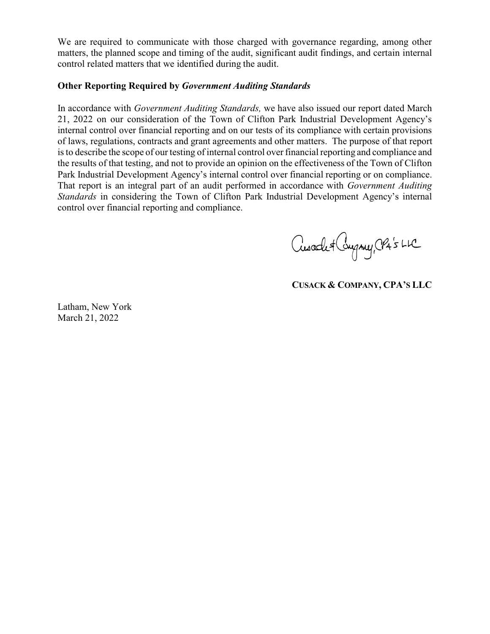We are required to communicate with those charged with governance regarding, among other matters, the planned scope and timing of the audit, significant audit findings, and certain internal control related matters that we identified during the audit.

### **Other Reporting Required by** *Government Auditing Standards*

In accordance with *Government Auditing Standards,* we have also issued our report dated March 21, 2022 on our consideration of the Town of Clifton Park Industrial Development Agency's internal control over financial reporting and on our tests of its compliance with certain provisions of laws, regulations, contracts and grant agreements and other matters. The purpose of that report is to describe the scope of our testing of internal control over financial reporting and compliance and the results of that testing, and not to provide an opinion on the effectiveness of the Town of Clifton Park Industrial Development Agency's internal control over financial reporting or on compliance. That report is an integral part of an audit performed in accordance with *Government Auditing Standards* in considering the Town of Clifton Park Industrial Development Agency's internal control over financial reporting and compliance.

Cusade & Company, CPA's LIC

**CUSACK & COMPANY, CPA'S LLC**

Latham, New York March 21, 2022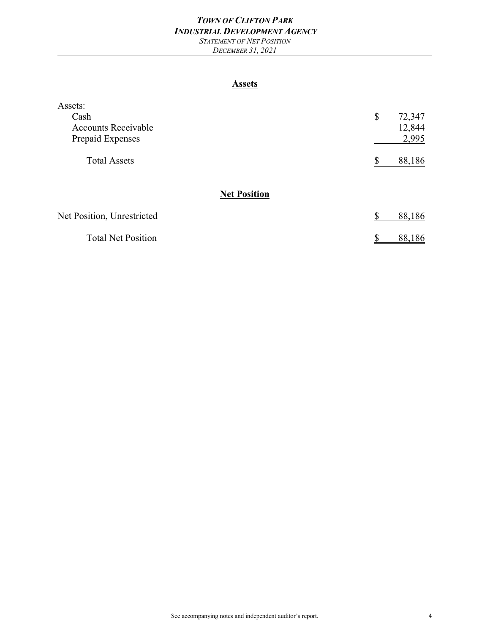# *TOWN OF CLIFTON PARK INDUSTRIAL DEVELOPMENT AGENCY*

*STATEMENT OF NET POSITION DECEMBER 31, 2021*

#### **Assets**

| Assets:                    |              |
|----------------------------|--------------|
| Cash                       | \$<br>72,347 |
| <b>Accounts Receivable</b> | 12,844       |
| Prepaid Expenses           | 2,995        |
| <b>Total Assets</b>        | 88,186<br>S. |
| <b>Net Position</b>        |              |
| Net Position, Unrestricted | 88,186<br>\$ |
| <b>Total Net Position</b>  | 88,186<br>\$ |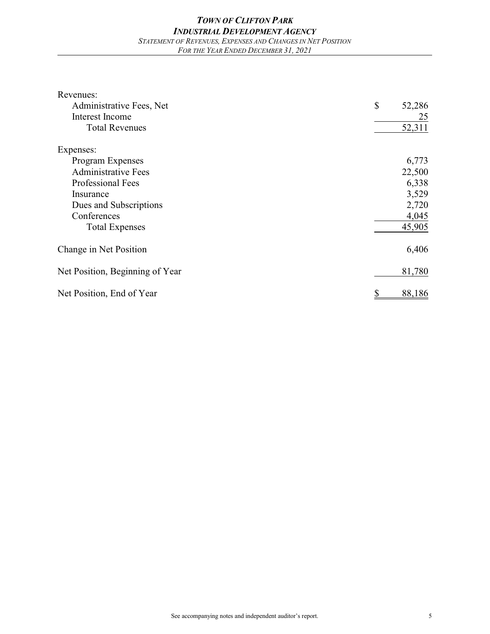| Revenues:                       |              |
|---------------------------------|--------------|
| Administrative Fees, Net        | \$<br>52,286 |
| Interest Income                 | 25           |
| <b>Total Revenues</b>           | 52,311       |
| Expenses:                       |              |
| Program Expenses                | 6,773        |
| <b>Administrative Fees</b>      | 22,500       |
| <b>Professional Fees</b>        | 6,338        |
| Insurance                       | 3,529        |
| Dues and Subscriptions          | 2,720        |
| Conferences                     | 4,045        |
| <b>Total Expenses</b>           | 45,905       |
| Change in Net Position          | 6,406        |
| Net Position, Beginning of Year | 81,780       |
| Net Position, End of Year       | 88,186       |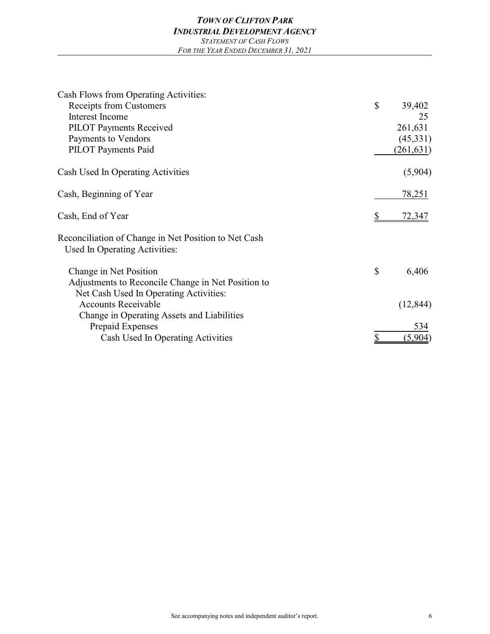| Cash Flows from Operating Activities:                                                 |               |
|---------------------------------------------------------------------------------------|---------------|
| <b>Receipts from Customers</b>                                                        | \$<br>39,402  |
| Interest Income                                                                       | 25            |
| PILOT Payments Received                                                               | 261,631       |
| Payments to Vendors                                                                   | (45,331)      |
| <b>PILOT</b> Payments Paid                                                            | (261, 631)    |
| Cash Used In Operating Activities                                                     | (5,904)       |
| Cash, Beginning of Year                                                               | <u>78,251</u> |
| Cash, End of Year                                                                     | <u>72,347</u> |
| Reconciliation of Change in Net Position to Net Cash<br>Used In Operating Activities: |               |
| Change in Net Position                                                                | \$<br>6,406   |
| Adjustments to Reconcile Change in Net Position to                                    |               |
| Net Cash Used In Operating Activities:                                                |               |
| <b>Accounts Receivable</b>                                                            | (12, 844)     |
| Change in Operating Assets and Liabilities                                            |               |
| Prepaid Expenses                                                                      | 534           |
| Cash Used In Operating Activities                                                     | (5,904)       |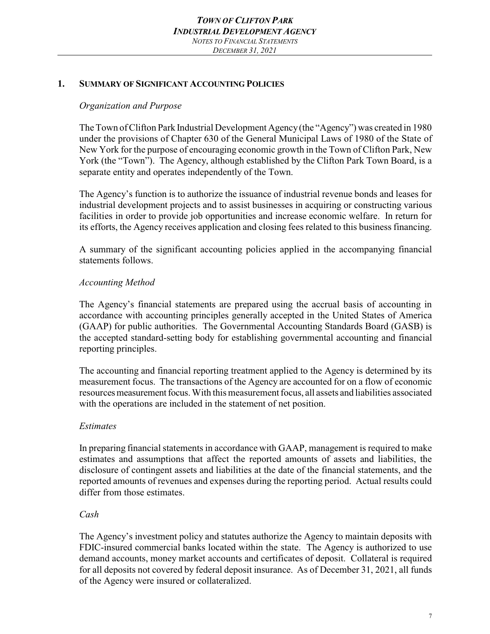#### **1. SUMMARY OF SIGNIFICANT ACCOUNTING POLICIES**

### *Organization and Purpose*

The Town of Clifton Park Industrial Development Agency(the "Agency") was created in 1980 under the provisions of Chapter 630 of the General Municipal Laws of 1980 of the State of New York for the purpose of encouraging economic growth in the Town of Clifton Park, New York (the "Town"). The Agency, although established by the Clifton Park Town Board, is a separate entity and operates independently of the Town.

The Agency's function is to authorize the issuance of industrial revenue bonds and leases for industrial development projects and to assist businesses in acquiring or constructing various facilities in order to provide job opportunities and increase economic welfare. In return for its efforts, the Agency receives application and closing fees related to this business financing.

A summary of the significant accounting policies applied in the accompanying financial statements follows.

### *Accounting Method*

The Agency's financial statements are prepared using the accrual basis of accounting in accordance with accounting principles generally accepted in the United States of America (GAAP) for public authorities. The Governmental Accounting Standards Board (GASB) is the accepted standard-setting body for establishing governmental accounting and financial reporting principles.

The accounting and financial reporting treatment applied to the Agency is determined by its measurement focus. The transactions of the Agency are accounted for on a flow of economic resources measurement focus. With this measurement focus, all assets and liabilities associated with the operations are included in the statement of net position.

#### *Estimates*

In preparing financial statements in accordance with GAAP, management is required to make estimates and assumptions that affect the reported amounts of assets and liabilities, the disclosure of contingent assets and liabilities at the date of the financial statements, and the reported amounts of revenues and expenses during the reporting period. Actual results could differ from those estimates.

### *Cash*

The Agency's investment policy and statutes authorize the Agency to maintain deposits with FDIC-insured commercial banks located within the state. The Agency is authorized to use demand accounts, money market accounts and certificates of deposit. Collateral is required for all deposits not covered by federal deposit insurance. As of December 31, 2021, all funds of the Agency were insured or collateralized.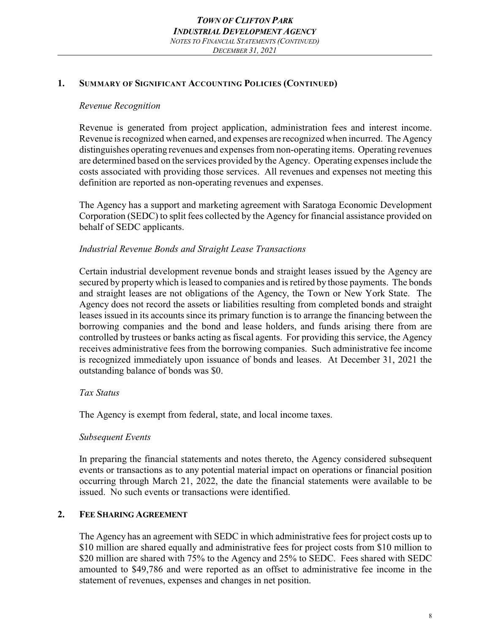# **1. SUMMARY OF SIGNIFICANT ACCOUNTING POLICIES (CONTINUED)**

# *Revenue Recognition*

Revenue is generated from project application, administration fees and interest income. Revenue is recognized when earned, and expenses are recognized when incurred. The Agency distinguishes operating revenues and expenses from non-operating items. Operating revenues are determined based on the services provided by the Agency. Operating expenses include the costs associated with providing those services. All revenues and expenses not meeting this definition are reported as non-operating revenues and expenses.

The Agency has a support and marketing agreement with Saratoga Economic Development Corporation (SEDC) to split fees collected by the Agency for financial assistance provided on behalf of SEDC applicants.

# *Industrial Revenue Bonds and Straight Lease Transactions*

Certain industrial development revenue bonds and straight leases issued by the Agency are secured by property which is leased to companies and is retired by those payments. The bonds and straight leases are not obligations of the Agency, the Town or New York State. The Agency does not record the assets or liabilities resulting from completed bonds and straight leases issued in its accounts since its primary function is to arrange the financing between the borrowing companies and the bond and lease holders, and funds arising there from are controlled by trustees or banks acting as fiscal agents. For providing this service, the Agency receives administrative fees from the borrowing companies. Such administrative fee income is recognized immediately upon issuance of bonds and leases. At December 31, 2021 the outstanding balance of bonds was \$0.

# *Tax Status*

The Agency is exempt from federal, state, and local income taxes.

# *Subsequent Events*

In preparing the financial statements and notes thereto, the Agency considered subsequent events or transactions as to any potential material impact on operations or financial position occurring through March 21, 2022, the date the financial statements were available to be issued. No such events or transactions were identified.

# **2. FEE SHARING AGREEMENT**

The Agency has an agreement with SEDC in which administrative fees for project costs up to \$10 million are shared equally and administrative fees for project costs from \$10 million to \$20 million are shared with 75% to the Agency and 25% to SEDC. Fees shared with SEDC amounted to \$49,786 and were reported as an offset to administrative fee income in the statement of revenues, expenses and changes in net position.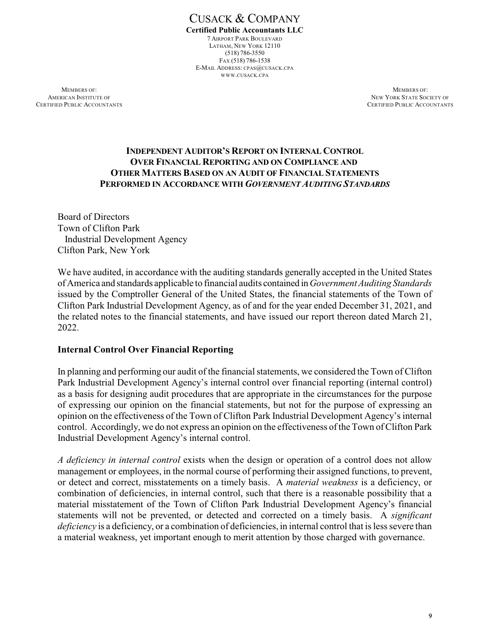CUSACK & COMPANY **Certified Public Accountants LLC** 7 AIRPORT PARK BOULEVARD LATHAM, NEW YORK 12110 (518) 786-3550 FAX (518) 786-1538 E-MAIL ADDRESS: CPAS@CUSACK.CPA WWW.CUSACK.CPA

**MEMBERS OF:** MEMBERS OF: **AMERICAN INSTITUTE OF NEW YORK STATE SOCIETY OF NEW YORK STATE SOCIETY OF** CERTIFIED PUBLIC ACCOUNTANTS CERTIFIED PUBLIC ACCOUNTANTS

### **INDEPENDENT AUDITOR'S REPORT ON INTERNAL CONTROL OVER FINANCIAL REPORTING AND ON COMPLIANCE AND OTHER MATTERS BASED ON AN AUDIT OF FINANCIAL STATEMENTS PERFORMED IN ACCORDANCE WITH** *GOVERNMENT AUDITING STANDARDS*

Board of Directors Town of Clifton Park Industrial Development Agency Clifton Park, New York

We have audited, in accordance with the auditing standards generally accepted in the United States of America and standards applicable to financial audits contained in*Government Auditing Standards* issued by the Comptroller General of the United States, the financial statements of the Town of Clifton Park Industrial Development Agency, as of and for the year ended December 31, 2021, and the related notes to the financial statements, and have issued our report thereon dated March 21, 2022.

### **Internal Control Over Financial Reporting**

In planning and performing our audit of the financial statements, we considered the Town of Clifton Park Industrial Development Agency's internal control over financial reporting (internal control) as a basis for designing audit procedures that are appropriate in the circumstances for the purpose of expressing our opinion on the financial statements, but not for the purpose of expressing an opinion on the effectiveness of the Town of Clifton Park Industrial Development Agency's internal control. Accordingly, we do not express an opinion on the effectiveness of the Town of Clifton Park Industrial Development Agency's internal control.

*A deficiency in internal control* exists when the design or operation of a control does not allow management or employees, in the normal course of performing their assigned functions, to prevent, or detect and correct, misstatements on a timely basis. A *material weakness* is a deficiency, or combination of deficiencies, in internal control, such that there is a reasonable possibility that a material misstatement of the Town of Clifton Park Industrial Development Agency's financial statements will not be prevented, or detected and corrected on a timely basis. A *significant deficiency* is a deficiency, or a combination of deficiencies, in internal control that is less severe than a material weakness, yet important enough to merit attention by those charged with governance.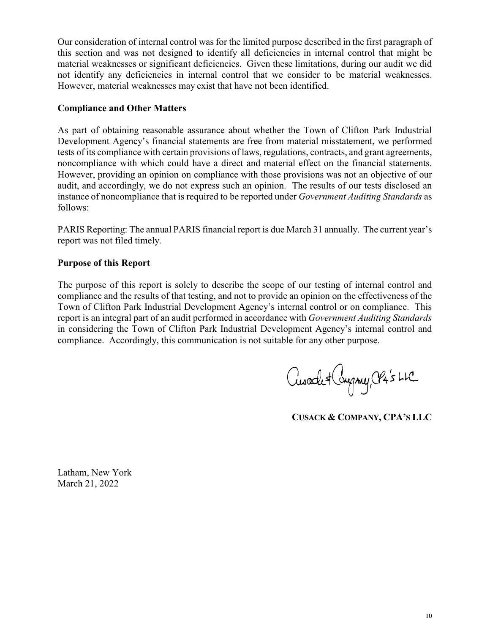Our consideration of internal control was for the limited purpose described in the first paragraph of this section and was not designed to identify all deficiencies in internal control that might be material weaknesses or significant deficiencies. Given these limitations, during our audit we did not identify any deficiencies in internal control that we consider to be material weaknesses. However, material weaknesses may exist that have not been identified.

### **Compliance and Other Matters**

As part of obtaining reasonable assurance about whether the Town of Clifton Park Industrial Development Agency's financial statements are free from material misstatement, we performed tests of its compliance with certain provisions of laws, regulations, contracts, and grant agreements, noncompliance with which could have a direct and material effect on the financial statements. However, providing an opinion on compliance with those provisions was not an objective of our audit, and accordingly, we do not express such an opinion. The results of our tests disclosed an instance of noncompliance that is required to be reported under *Government Auditing Standards* as follows:

PARIS Reporting: The annual PARIS financial report is due March 31 annually. The current year's report was not filed timely.

### **Purpose of this Report**

The purpose of this report is solely to describe the scope of our testing of internal control and compliance and the results of that testing, and not to provide an opinion on the effectiveness of the Town of Clifton Park Industrial Development Agency's internal control or on compliance. This report is an integral part of an audit performed in accordance with *Government Auditing Standards* in considering the Town of Clifton Park Industrial Development Agency's internal control and compliance. Accordingly, this communication is not suitable for any other purpose.

Cusade + Congruy, CPA's LLC

**CUSACK & COMPANY, CPA'S LLC**

Latham, New York March 21, 2022